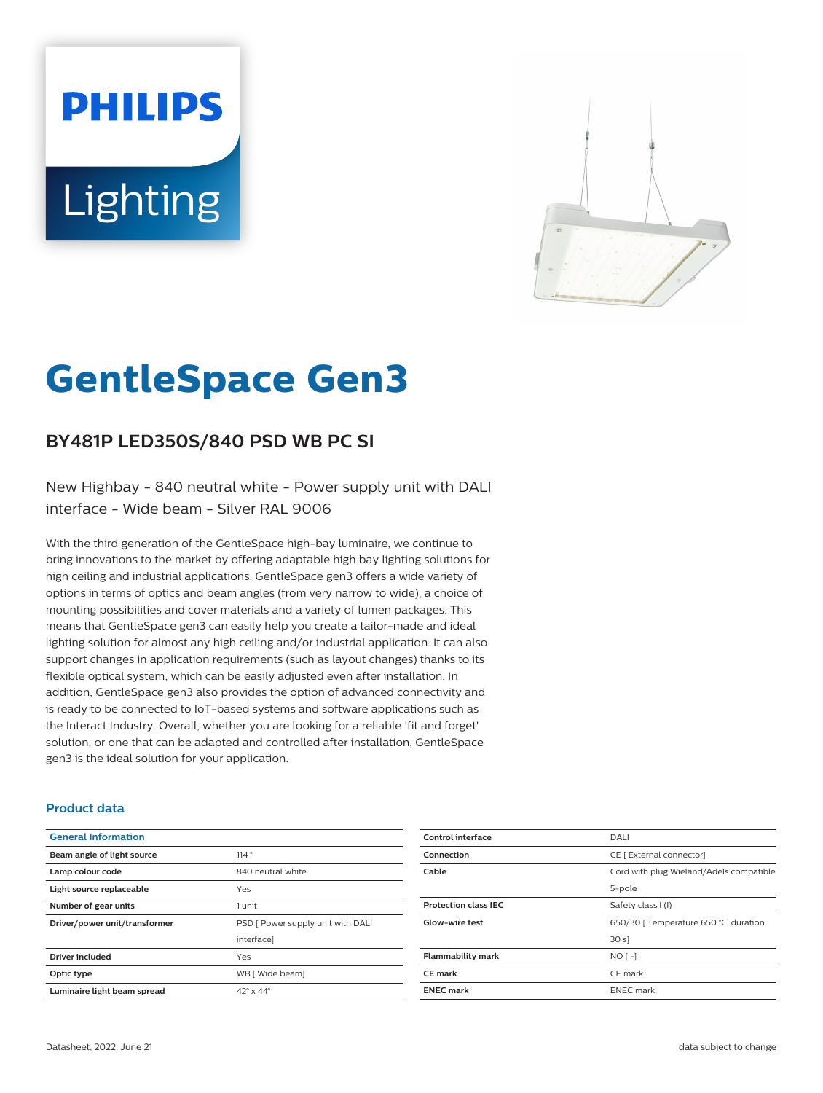# **PHILIPS** Lighting



# **GentleSpace Gen3**

# **BY481P LED350S/840 PSD WB PC SI**

New Highbay - 840 neutral white - Power supply unit with DALI interface - Wide beam - Silver RAL 9006

With the third generation of the GentleSpace high-bay luminaire, we continue to bring innovations to the market by offering adaptable high bay lighting solutions for high ceiling and industrial applications. GentleSpace gen3 offers a wide variety of options in terms of optics and beam angles (from very narrow to wide), a choice of mounting possibilities and cover materials and a variety of lumen packages. This means that GentleSpace gen3 can easily help you create a tailor-made and ideal lighting solution for almost any high ceiling and/or industrial application. It can also support changes in application requirements (such as layout changes) thanks to its flexible optical system, which can be easily adjusted even after installation. In addition, GentleSpace gen3 also provides the option of advanced connectivity and is ready to be connected to IoT-based systems and software applications such as the Interact Industry. Overall, whether you are looking for a reliable 'fit and forget' solution, or one that can be adapted and controlled after installation, GentleSpace gen3 is the ideal solution for your application.

#### **Product data**

| <b>General Information</b>    |                                   |
|-------------------------------|-----------------------------------|
| Beam angle of light source    | 114°                              |
| Lamp colour code              | 840 neutral white                 |
| Light source replaceable      | Yes                               |
| Number of gear units          | 1 unit                            |
| Driver/power unit/transformer | PSD [ Power supply unit with DALI |
|                               | interfacel                        |
| <b>Driver included</b>        | Yes                               |
| Optic type                    | WB [ Wide beam]                   |
| Luminaire light beam spread   | $42^{\circ} \times 44^{\circ}$    |

| Control interface           | DALI                                    |
|-----------------------------|-----------------------------------------|
| Connection                  | CE [ External connector]                |
| Cable                       | Cord with plug Wieland/Adels compatible |
|                             | 5-pole                                  |
| <b>Protection class IEC</b> | Safety class I (I)                      |
| Glow-wire test              | 650/30   Temperature 650 °C, duration   |
|                             | 30 s                                    |
| <b>Flammability mark</b>    | $NO[-]$                                 |
| <b>CE</b> mark              | CE mark                                 |
| <b>ENEC mark</b>            | <b>ENEC</b> mark                        |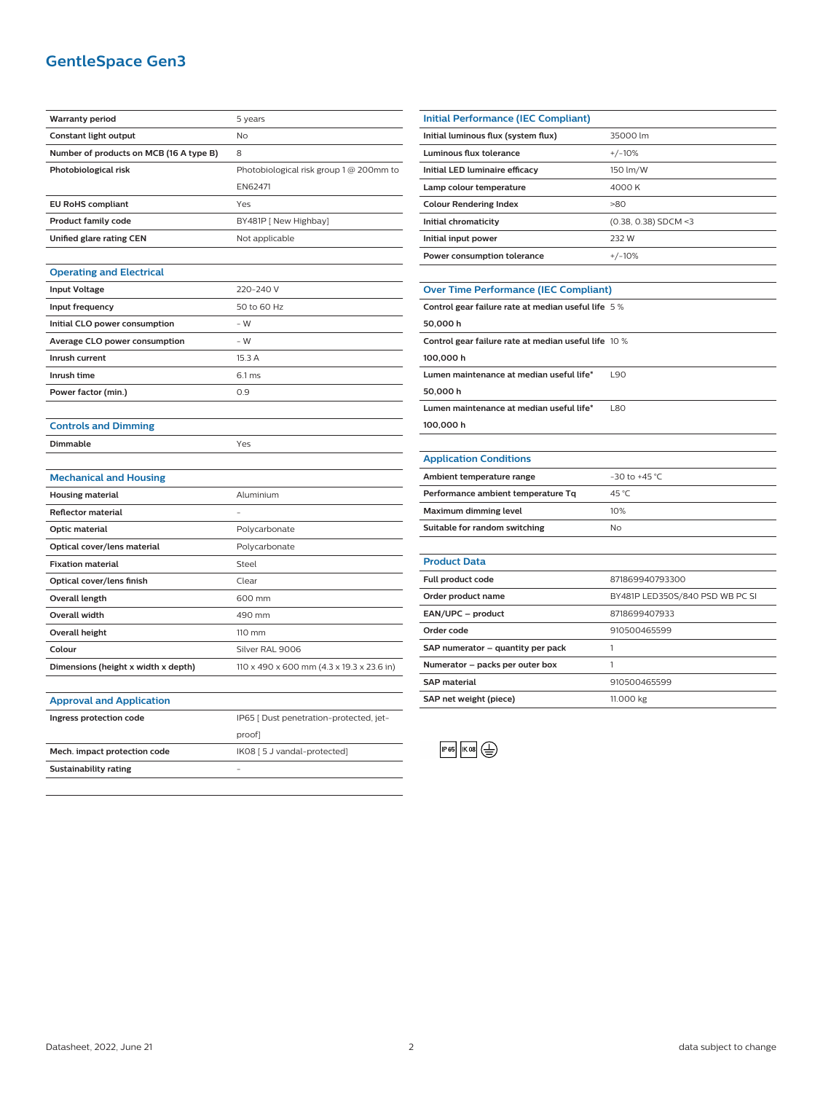## **GentleSpace Gen3**

| <b>Warranty period</b>                  | 5 years                                   |
|-----------------------------------------|-------------------------------------------|
| <b>Constant light output</b>            | No                                        |
| Number of products on MCB (16 A type B) | 8                                         |
| Photobiological risk                    | Photobiological risk group 1 @ 200mm to   |
|                                         | EN62471                                   |
| <b>EU RoHS compliant</b>                | Yes                                       |
| <b>Product family code</b>              | BY481P [ New Highbay]                     |
| Unified glare rating CEN                | Not applicable                            |
|                                         |                                           |
| <b>Operating and Electrical</b>         |                                           |
| <b>Input Voltage</b>                    | 220-240 V                                 |
| Input frequency                         | 50 to 60 Hz                               |
| Initial CLO power consumption           | - W                                       |
| Average CLO power consumption           | $- W$                                     |
| Inrush current                          | 15.3 A                                    |
| Inrush time                             | 6.1 <sub>ms</sub>                         |
| Power factor (min.)                     | 0.9                                       |
|                                         |                                           |
| <b>Controls and Dimming</b>             |                                           |
| Dimmable                                | Yes                                       |
|                                         |                                           |
| <b>Mechanical and Housing</b>           |                                           |
| <b>Housing material</b>                 | Aluminium                                 |
| <b>Reflector material</b>               |                                           |
| <b>Optic material</b>                   | Polycarbonate                             |
| Optical cover/lens material             | Polycarbonate                             |
| <b>Fixation material</b>                | Steel                                     |
| Optical cover/lens finish               | Clear                                     |
| Overall length                          | 600 mm                                    |
| <b>Overall width</b>                    | 490 mm                                    |
| <b>Overall height</b>                   | 110 mm                                    |
| Colour                                  | Silver RAL 9006                           |
| Dimensions (height x width x depth)     | 110 x 490 x 600 mm (4.3 x 19.3 x 23.6 in) |
|                                         |                                           |
| <b>Approval and Application</b>         |                                           |
| Ingress protection code                 | IP65 [ Dust penetration-protected, jet-   |
|                                         | proof]                                    |
| Mech. impact protection code            | IK08 [5 J vandal-protected]               |
| <b>Sustainability rating</b>            | $\equiv$                                  |
|                                         |                                           |
|                                         |                                           |

| <b>Initial Performance (IEC Compliant)</b> |                        |
|--------------------------------------------|------------------------|
| Initial luminous flux (system flux)        | 35000 lm               |
| Luminous flux tolerance                    | $+/-10%$               |
| Initial LED luminaire efficacy             | 150 lm/W               |
| Lamp colour temperature                    | 4000 K                 |
| <b>Colour Rendering Index</b>              | >80                    |
| Initial chromaticity                       | $(0.38, 0.38)$ SDCM <3 |
| Initial input power                        | 232 W                  |
| Power consumption tolerance                | $+/-10%$               |
|                                            |                        |

# **Over Time Performance (IEC Compliant)**

| Control gear failure rate at median useful life 5 %  |            |
|------------------------------------------------------|------------|
| 50.000h                                              |            |
| Control gear failure rate at median useful life 10 % |            |
| 100.000h                                             |            |
| Lumen maintenance at median useful life*             | L90        |
| 50.000h                                              |            |
| Lumen maintenance at median useful life*             | <b>L80</b> |
| 100.000 h                                            |            |
|                                                      |            |

#### **Application Conditions**

j.

| Ambient temperature range          | $-30$ to $+45$ °C. |
|------------------------------------|--------------------|
| Performance ambient temperature Tq | 45 °C              |
| Maximum dimming level              | 10%                |
| Suitable for random switching      | Nο                 |

| <b>Product Data</b>               |                                 |
|-----------------------------------|---------------------------------|
| <b>Full product code</b>          | 871869940793300                 |
| Order product name                | BY481P LED350S/840 PSD WB PC SI |
| EAN/UPC - product                 | 8718699407933                   |
| Order code                        | 910500465599                    |
| SAP numerator - quantity per pack |                                 |
| Numerator - packs per outer box   |                                 |
| <b>SAP material</b>               | 910500465599                    |
| SAP net weight (piece)            | 11.000 kg                       |
|                                   |                                 |